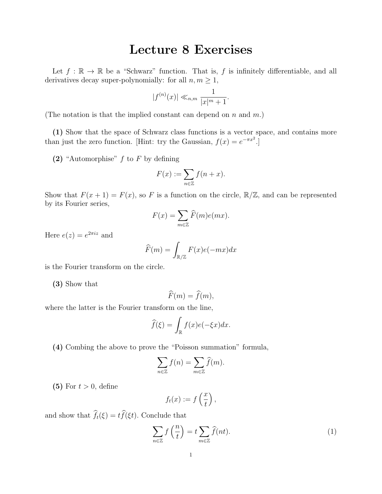## Lecture 8 Exercises

Let  $f : \mathbb{R} \to \mathbb{R}$  be a "Schwarz" function. That is, f is infinitely differentiable, and all derivatives decay super-polynomially: for all  $n, m \geq 1$ ,

$$
|f^{(n)}(x)| \ll_{n,m} \frac{1}{|x|^m + 1}.
$$

(The notation is that the implied constant can depend on n and  $m$ .)

(1) Show that the space of Schwarz class functions is a vector space, and contains more than just the zero function. [Hint: try the Gaussian,  $f(x) = e^{-\pi x^2}$ .]

(2) "Automorphise"  $f$  to  $F$  by defining

$$
F(x) := \sum_{n \in \mathbb{Z}} f(n + x).
$$

Show that  $F(x+1) = F(x)$ , so F is a function on the circle,  $\mathbb{R}/\mathbb{Z}$ , and can be represented by its Fourier series,

$$
F(x) = \sum_{m \in \mathbb{Z}} \widehat{F}(m)e(mx).
$$

Here  $e(z) = e^{2\pi i z}$  and

$$
\widehat{F}(m) = \int_{\mathbb{R}/\mathbb{Z}} F(x)e(-mx)dx
$$

is the Fourier transform on the circle.

(3) Show that

$$
\widehat{F}(m) = \widehat{f}(m),
$$

where the latter is the Fourier transform on the line,

$$
\widehat{f}(\xi) = \int_{\mathbb{R}} f(x)e(-\xi x)dx.
$$

(4) Combing the above to prove the "Poisson summation" formula,

$$
\sum_{n\in\mathbb{Z}}f(n)=\sum_{m\in\mathbb{Z}}\widehat{f}(m).
$$

(5) For  $t > 0$ , define

$$
f_t(x) := f\left(\frac{x}{t}\right),\,
$$

and show that  $\widehat{f}_t(\xi) = t\widehat{f}(\xi t)$ . Conclude that

<span id="page-0-0"></span>
$$
\sum_{n\in\mathbb{Z}} f\left(\frac{n}{t}\right) = t \sum_{m\in\mathbb{Z}} \widehat{f}(nt). \tag{1}
$$